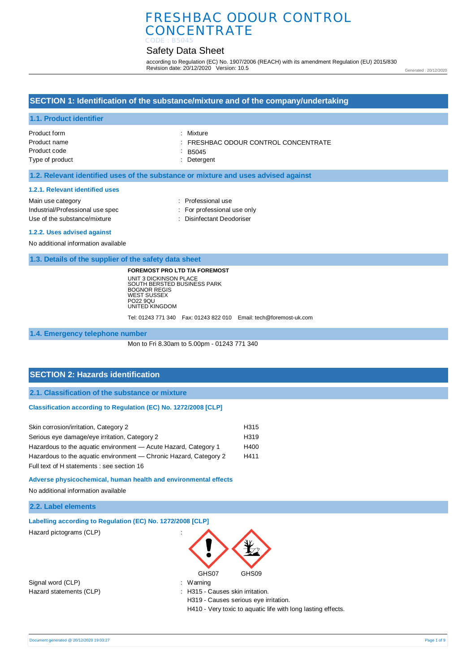# Safety Data Sheet

according to Regulation (EC) No. 1907/2006 (REACH) with its amendment Regulation (EU) 2015/830 Revision date: 20/12/2020 Version: 10.5

Generated : 20/12/2020

### **SECTION 1: Identification of the substance/mixture and of the company/undertaking**

#### **1.1. Product identifier**

| : Mixture                                       |
|-------------------------------------------------|
| $\therefore$ FRESHBAC ODOUR CONTROL CONCENTRATE |
| $\therefore$ B5045                              |
| : Detergent                                     |
|                                                 |

#### **1.2. Relevant identified uses of the substance or mixture and uses advised against**

#### **1.2.1. Relevant identified uses**

| Main use category                | : Professional use          |
|----------------------------------|-----------------------------|
| Industrial/Professional use spec | : For professional use only |
| Use of the substance/mixture     | : Disinfectant Deodoriser   |
|                                  |                             |

#### **1.2.2. Uses advised against**

No additional information available

**1.3. Details of the supplier of the safety data sheet**

**FOREMOST PRO LTD T/A FOREMOST** UNIT 3 DICKINSON PLACE SOUTH BERSTED BUSINESS PARK BOGNOR REGIS WEST SUSSEX PO22 9QU UNITED KINGDOM

Tel: 01243 771 340 Fax: 01243 822 010 Email: tech@foremost-uk.com

**1.4. Emergency telephone number**

Mon to Fri 8.30am to 5.00pm - 01243 771 340

### **SECTION 2: Hazards identification**

**2.1. Classification of the substance or mixture**

#### **Classification according to Regulation (EC) No. 1272/2008 [CLP]**

| Skin corrosion/irritation, Category 2                             | H315 |
|-------------------------------------------------------------------|------|
| Serious eye damage/eye irritation, Category 2                     | H319 |
| Hazardous to the aquatic environment - Acute Hazard, Category 1   | H400 |
| Hazardous to the aquatic environment — Chronic Hazard, Category 2 | H411 |
| Full text of H statements : see section 16                        |      |

**Adverse physicochemical, human health and environmental effects** 

No additional information available

#### **2.2. Label elements**

| Labelling according to Regulation (EC) No. 1272/2008 [CLP] |                                       |  |
|------------------------------------------------------------|---------------------------------------|--|
| Hazard pictograms (CLP)                                    | ٠<br>$\cdot$                          |  |
|                                                            | GHS07<br>GHS09                        |  |
| Signal word (CLP)                                          | : Warning                             |  |
| Hazard statements (CLP)                                    | : H315 - Causes skin irritation.      |  |
|                                                            | H319 - Causes serious eye irritation. |  |

H410 - Very toxic to aquatic life with long lasting effects.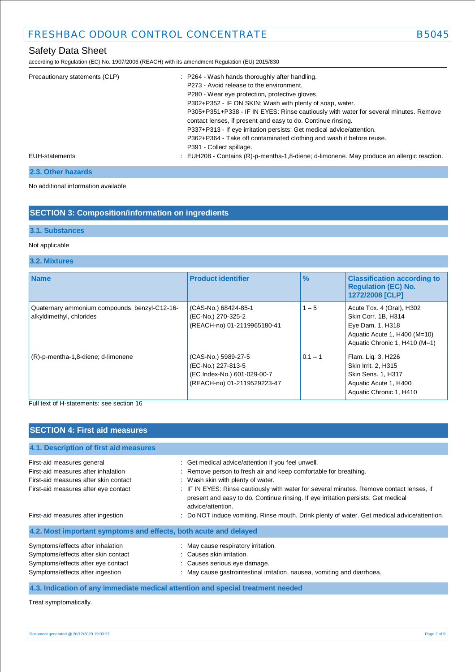according to Regulation (EC) No. 1907/2006 (REACH) with its amendment Regulation (EU) 2015/830

| Precautionary statements (CLP) | : P264 - Wash hands thoroughly after handling.                                            |
|--------------------------------|-------------------------------------------------------------------------------------------|
|                                | P273 - Avoid release to the environment.                                                  |
|                                | P280 - Wear eye protection, protective gloves.                                            |
|                                | P302+P352 - IF ON SKIN: Wash with plenty of soap, water.                                  |
|                                | P305+P351+P338 - IF IN EYES: Rinse cautiously with water for several minutes. Remove      |
|                                | contact lenses, if present and easy to do. Continue rinsing.                              |
|                                | P337+P313 - If eye irritation persists: Get medical advice/attention.                     |
|                                | P362+P364 - Take off contaminated clothing and wash it before reuse.                      |
|                                | P391 - Collect spillage.                                                                  |
| EUH-statements                 | : EUH208 - Contains (R)-p-mentha-1,8-diene; d-limonene. May produce an allergic reaction. |
|                                |                                                                                           |

### **2.3. Other hazards**

No additional information available

# **SECTION 3: Composition/information on ingredients**

### **3.1. Substances**

### Not applicable

### **3.2. Mixtures**

| <b>Name</b>                                                               | <b>Product identifier</b>                                                                               | $\frac{9}{6}$ | <b>Classification according to</b><br><b>Requlation (EC) No.</b><br>1272/2008 [CLP]                                                   |  |
|---------------------------------------------------------------------------|---------------------------------------------------------------------------------------------------------|---------------|---------------------------------------------------------------------------------------------------------------------------------------|--|
| Quaternary ammonium compounds, benzyl-C12-16-<br>alkyldimethyl, chlorides | (CAS-No.) 68424-85-1<br>(EC-No.) 270-325-2<br>(REACH-no) 01-2119965180-41                               | $1 - 5$       | Acute Tox. 4 (Oral), H302<br>Skin Corr. 1B, H314<br>Eye Dam. 1, H318<br>Aquatic Acute 1, H400 (M=10)<br>Aquatic Chronic 1, H410 (M=1) |  |
| (R)-p-mentha-1,8-diene; d-limonene                                        | (CAS-No.) 5989-27-5<br>(EC-No.) 227-813-5<br>(EC Index-No.) 601-029-00-7<br>(REACH-no) 01-2119529223-47 | $0.1 - 1$     | Flam. Lig. 3, H226<br>Skin Irrit. 2, H315<br><b>Skin Sens. 1, H317</b><br>Aquatic Acute 1, H400<br>Aquatic Chronic 1, H410            |  |

Full text of H-statements: see section 16

### **SECTION 4: First aid measures**

| 4.1. Description of first aid measures                           |                                                                                                                                                                                                    |
|------------------------------------------------------------------|----------------------------------------------------------------------------------------------------------------------------------------------------------------------------------------------------|
| First-aid measures general                                       | : Get medical advice/attention if you feel unwell.                                                                                                                                                 |
| First-aid measures after inhalation                              | : Remove person to fresh air and keep comfortable for breathing.                                                                                                                                   |
| First-aid measures after skin contact                            | : Wash skin with plenty of water.                                                                                                                                                                  |
| First-aid measures after eye contact                             | : IF IN EYES: Rinse cautiously with water for several minutes. Remove contact lenses, if<br>present and easy to do. Continue rinsing. If eye irritation persists: Get medical<br>advice/attention. |
| First-aid measures after ingestion                               | : Do NOT induce vomiting. Rinse mouth. Drink plenty of water. Get medical advice/attention.                                                                                                        |
| 4.2. Most important symptoms and effects, both acute and delayed |                                                                                                                                                                                                    |
| Symptoms/effects after inhalation                                | : May cause respiratory irritation.                                                                                                                                                                |
| Symptoms/effects after skin contact                              | : Causes skin irritation.                                                                                                                                                                          |
| Symptoms/effects after eye contact                               | : Causes serious eye damage.                                                                                                                                                                       |
| Symptoms/effects after ingestion                                 | : May cause gastrointestinal irritation, nausea, vomiting and diarrhoea.                                                                                                                           |

**4.3. Indication of any immediate medical attention and special treatment needed**

Treat symptomatically.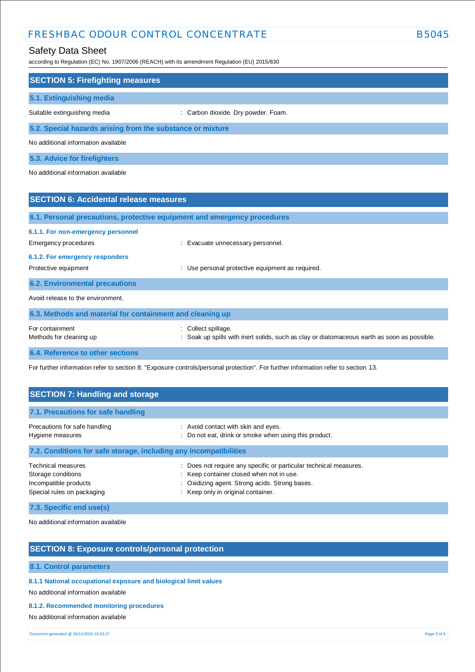# Safety Data Sheet

according to Regulation (EC) No. 1907/2006 (REACH) with its amendment Regulation (EU) 2015/830

| <b>SECTION 5: Firefighting measures</b>                                  |                                                |  |  |  |
|--------------------------------------------------------------------------|------------------------------------------------|--|--|--|
| 5.1. Extinguishing media                                                 |                                                |  |  |  |
| Suitable extinguishing media                                             | Carbon dioxide. Dry powder. Foam.              |  |  |  |
| 5.2. Special hazards arising from the substance or mixture               |                                                |  |  |  |
| No additional information available                                      |                                                |  |  |  |
| 5.3. Advice for firefighters                                             |                                                |  |  |  |
| No additional information available                                      |                                                |  |  |  |
|                                                                          |                                                |  |  |  |
| <b>SECTION 6: Accidental release measures</b>                            |                                                |  |  |  |
| 6.1. Personal precautions, protective equipment and emergency procedures |                                                |  |  |  |
|                                                                          |                                                |  |  |  |
| 6.1.1. For non-emergency personnel                                       |                                                |  |  |  |
| Emergency procedures                                                     | : Evacuate unnecessary personnel.              |  |  |  |
| 6.1.2. For emergency responders                                          |                                                |  |  |  |
| Protective equipment                                                     | Use personal protective equipment as required. |  |  |  |
| <b>6.2. Environmental precautions</b>                                    |                                                |  |  |  |

| 6.3. Methods and material for containment and cleaning up |                                                                                                                  |  |  |
|-----------------------------------------------------------|------------------------------------------------------------------------------------------------------------------|--|--|
| For containment<br>Methods for cleaning up                | Collect spillage.<br>: Soak up spills with inert solids, such as clay or diatomaceous earth as soon as possible. |  |  |
|                                                           |                                                                                                                  |  |  |

**6.4. Reference to other sections**

For further information refer to section 8: "Exposure controls/personal protection". For further information refer to section 13.

| <b>SECTION 7: Handling and storage</b>                                                                                 |                                                                                                                                                                                                       |  |  |
|------------------------------------------------------------------------------------------------------------------------|-------------------------------------------------------------------------------------------------------------------------------------------------------------------------------------------------------|--|--|
| 7.1. Precautions for safe handling                                                                                     |                                                                                                                                                                                                       |  |  |
| Precautions for safe handling<br>Hygiene measures<br>7.2. Conditions for safe storage, including any incompatibilities | : Avoid contact with skin and eyes.<br>: Do not eat, drink or smoke when using this product.                                                                                                          |  |  |
| <b>Technical measures</b><br>Storage conditions<br>Incompatible products<br>Special rules on packaging                 | : Does not require any specific or particular technical measures.<br>: Keep container closed when not in use.<br>: Oxidizing agent. Strong acids. Strong bases.<br>: Keep only in original container. |  |  |

**7.3. Specific end use(s)**

No additional information available

### **SECTION 8: Exposure controls/personal protection**

**8.1. Control parameters**

**8.1.1 National occupational exposure and biological limit values** 

No additional information available

**8.1.2. Recommended monitoring procedures** 

No additional information available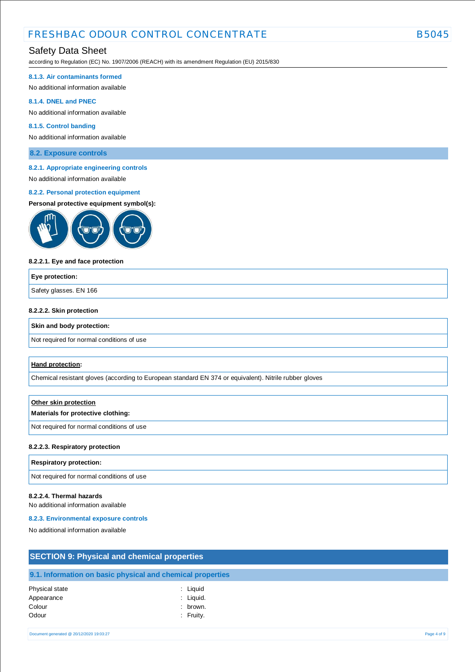# FRESHBAC ODOUR CONTROL CONCENTRATE FRESHBAC ODOUR CONTROL CONCENTRATE

### Safety Data Sheet

according to Regulation (EC) No. 1907/2006 (REACH) with its amendment Regulation (EU) 2015/830

#### **8.1.3. Air contaminants formed**

No additional information available

#### **8.1.4. DNEL and PNEC**

No additional information available

#### **8.1.5. Control banding**

No additional information available

**8.2. Exposure controls**

#### **8.2.1. Appropriate engineering controls**

# No additional information available

### **8.2.2. Personal protection equipment**

#### **Personal protective equipment symbol(s):**



#### **8.2.2.1. Eye and face protection**

# **Eye protection:** Safety glasses. EN 166

#### **8.2.2.2. Skin protection**

#### **Skin and body protection:**

Not required for normal conditions of use

#### **Hand protection:**

Chemical resistant gloves (according to European standard EN 374 or equivalent). Nitrile rubber gloves

# **Other skin protection Materials for protective clothing:** Not required for normal conditions of use

#### **8.2.2.3. Respiratory protection**

#### **Respiratory protection:**

Not required for normal conditions of use

#### **8.2.2.4. Thermal hazards**

No additional information available

#### **8.2.3. Environmental exposure controls**

No additional information available

| <b>SECTION 9: Physical and chemical properties</b>         |           |  |  |
|------------------------------------------------------------|-----------|--|--|
|                                                            |           |  |  |
| 9.1. Information on basic physical and chemical properties |           |  |  |
| Physical state                                             | : Liguid  |  |  |
| Appearance                                                 | : Liquid. |  |  |
| Colour                                                     | brown.    |  |  |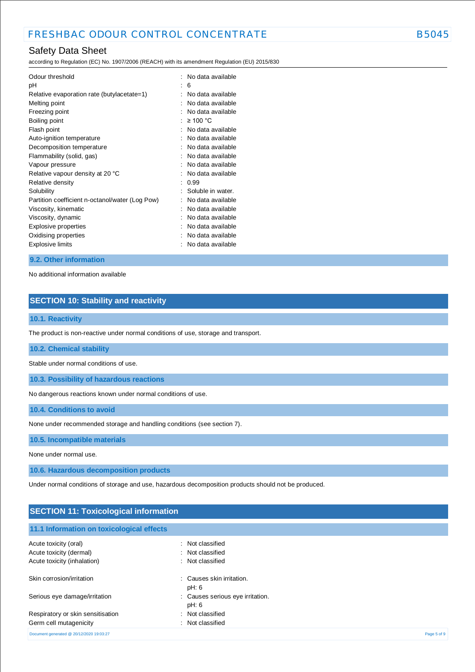# Safety Data Sheet

according to Regulation (EC) No. 1907/2006 (REACH) with its amendment Regulation (EU) 2015/830

| Odour threshold<br>рH                           |   | No data available<br>6 |
|-------------------------------------------------|---|------------------------|
| Relative evaporation rate (butylacetate=1)      |   | No data available      |
| Melting point                                   |   | No data available      |
| Freezing point                                  |   | No data available      |
| Boiling point                                   |   | $\geq 100$ °C          |
| Flash point                                     |   | No data available      |
| Auto-ignition temperature                       |   | No data available      |
| Decomposition temperature                       |   | No data available      |
| Flammability (solid, gas)                       |   | No data available      |
| Vapour pressure                                 |   | No data available      |
| Relative vapour density at 20 °C                | ٠ | No data available      |
| Relative density                                | İ | 0.99                   |
| Solubility                                      |   | Soluble in water.      |
| Partition coefficient n-octanol/water (Log Pow) |   | No data available      |
| Viscosity, kinematic                            |   | No data available      |
| Viscosity, dynamic                              |   | No data available      |
| Explosive properties                            |   | No data available      |
| Oxidising properties                            |   | No data available      |
| Explosive limits                                |   | No data available      |

#### **9.2. Other information**

No additional information available

### **SECTION 10: Stability and reactivity**

### **10.1. Reactivity**

The product is non-reactive under normal conditions of use, storage and transport.

#### **10.2. Chemical stability**

Stable under normal conditions of use.

**10.3. Possibility of hazardous reactions**

No dangerous reactions known under normal conditions of use.

**10.4. Conditions to avoid**

None under recommended storage and handling conditions (see section 7).

**10.5. Incompatible materials**

None under normal use.

**10.6. Hazardous decomposition products**

Under normal conditions of storage and use, hazardous decomposition products should not be produced.

| <b>SECTION 11: Toxicological information</b> |                                           |  |
|----------------------------------------------|-------------------------------------------|--|
|                                              |                                           |  |
| 11.1 Information on toxicological effects    |                                           |  |
| Acute toxicity (oral)                        | : Not classified                          |  |
| Acute toxicity (dermal)                      | : Not classified                          |  |
| Acute toxicity (inhalation)                  | : Not classified                          |  |
| Skin corrosion/irritation                    | : Causes skin irritation.<br>pH: 6        |  |
| Serious eye damage/irritation                | : Causes serious eye irritation.<br>pH: 6 |  |
| Respiratory or skin sensitisation            | : Not classified                          |  |
| Germ cell mutagenicity                       | : Not classified                          |  |

Document generated @ 20/12/2020 19:03:27 Page 5 of 9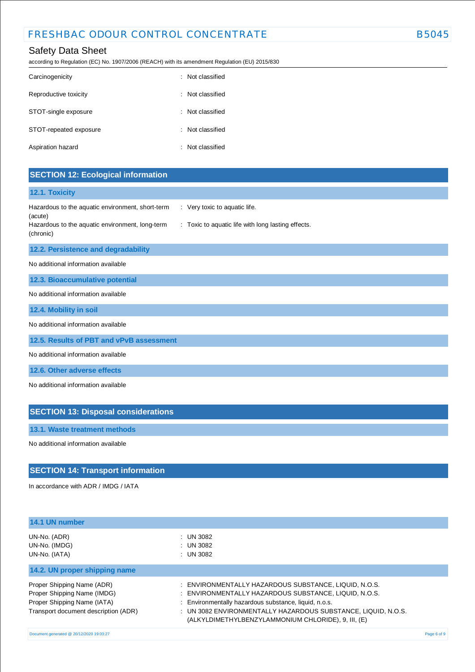according to Regulation (EC) No. 1907/2006 (REACH) with its amendment Regulation (EU) 2015/830

| Carcinogenicity        | : Not classified |
|------------------------|------------------|
| Reproductive toxicity  | : Not classified |
| STOT-single exposure   | : Not classified |
| STOT-repeated exposure | : Not classified |
| Aspiration hazard      | : Not classified |

# **SECTION 12: Ecological information**

#### **12.1. Toxicity**

| Hazardous to the aquatic environment, short-term                        | Very toxic to aquatic life.                        |
|-------------------------------------------------------------------------|----------------------------------------------------|
| (acute)<br>Hazardous to the aquatic environment, long-term<br>(chronic) | : Toxic to aquatic life with long lasting effects. |

#### **12.2. Persistence and degradability**

No additional information available

**12.3. Bioaccumulative potential**

No additional information available

**12.4. Mobility in soil**

No additional information available

**12.5. Results of PBT and vPvB assessment**

No additional information available

**12.6. Other adverse effects**

No additional information available

# **SECTION 13: Disposal considerations**

**13.1. Waste treatment methods**

No additional information available

### **SECTION 14: Transport information**

In accordance with ADR / IMDG / IATA

| 14.1 UN number                                                                                                                   |                                                                                                                                                                                                                                                                                                 |             |
|----------------------------------------------------------------------------------------------------------------------------------|-------------------------------------------------------------------------------------------------------------------------------------------------------------------------------------------------------------------------------------------------------------------------------------------------|-------------|
| UN-No. (ADR)<br>UN-No. (IMDG)<br>UN-No. (IATA)                                                                                   | : UN 3082<br>: UN 3082<br>$:$ UN 3082                                                                                                                                                                                                                                                           |             |
| 14.2. UN proper shipping name                                                                                                    |                                                                                                                                                                                                                                                                                                 |             |
| Proper Shipping Name (ADR)<br>Proper Shipping Name (IMDG)<br>Proper Shipping Name (IATA)<br>Transport document description (ADR) | : ENVIRONMENTALLY HAZARDOUS SUBSTANCE, LIQUID, N.O.S.<br>: ENVIRONMENTALLY HAZARDOUS SUBSTANCE, LIQUID, N.O.S.<br>: Environmentally hazardous substance, liquid, n.o.s.<br>: UN 3082 ENVIRONMENTALLY HAZARDOUS SUBSTANCE, LIQUID, N.O.S.<br>(ALKYLDIMETHYLBENZYLAMMONIUM CHLORIDE), 9, III, (E) |             |
| Document generated @ 20/12/2020 19:03:27                                                                                         |                                                                                                                                                                                                                                                                                                 | Page 6 of 9 |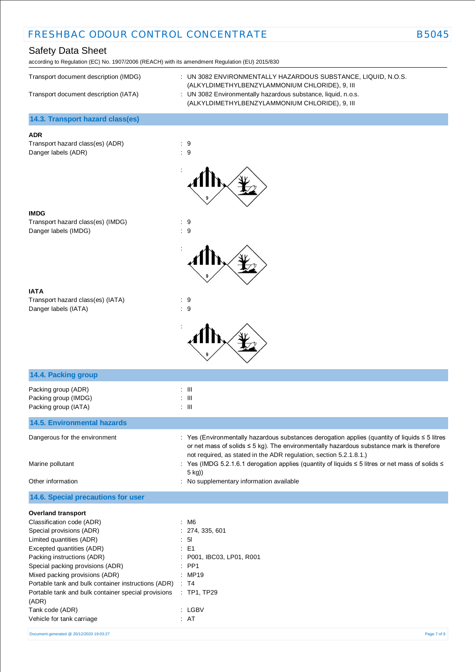# Safety Data Sheet

according to Regulation (EC) No. 1907/2006 (REACH) with its amendment Regulation (EU) 2015/830

| Transport document description (IMDG) | : UN 3082 ENVIRONMENTALLY HAZARDOUS SUBSTANCE. LIQUID. N.O.S.<br>(ALKYLDIMETHYLBENZYLAMMONIUM CHLORIDE), 9, III |
|---------------------------------------|-----------------------------------------------------------------------------------------------------------------|
| Transport document description (IATA) | : UN 3082 Environmentally hazardous substance, liquid, n.o.s.<br>(ALKYLDIMETHYLBENZYLAMMONIUM CHLORIDE), 9, III |

**14.3. Transport hazard class(es)**

### **ADR**

Transport hazard class(es) (ADR) : 9 Danger labels (ADR)  $\qquad \qquad$  : 9



:





Transport hazard class(es) (IATA) : 9 Danger labels (IATA) : 9



| 14.4. Packing group                                                 |                                                                                                                                                                                                                                                                            |
|---------------------------------------------------------------------|----------------------------------------------------------------------------------------------------------------------------------------------------------------------------------------------------------------------------------------------------------------------------|
| Packing group (ADR)<br>Packing group (IMDG)<br>Packing group (IATA) | $\therefore$ $\blacksquare$<br>$\therefore$ III<br>$\therefore$ III                                                                                                                                                                                                        |
| <b>14.5. Environmental hazards</b>                                  |                                                                                                                                                                                                                                                                            |
| Dangerous for the environment                                       | : Yes (Environmentally hazardous substances derogation applies (quantity of liquids $\leq$ 5 litres<br>or net mass of solids $\leq$ 5 kg). The environmentally hazardous substance mark is therefore<br>not required, as stated in the ADR regulation, section 5.2.1.8.1.) |
| Marine pollutant                                                    | : Yes (IMDG 5.2.1.6.1 derogation applies (quantity of liquids ≤ 5 litres or net mass of solids ≤<br>5 kg))                                                                                                                                                                 |
| Other information                                                   | : No supplementary information available                                                                                                                                                                                                                                   |
| 14.6. Special precautions for user                                  |                                                                                                                                                                                                                                                                            |
| <b>Overland transport</b>                                           |                                                                                                                                                                                                                                                                            |
| Classification code (ADR)                                           | : M6                                                                                                                                                                                                                                                                       |
| Special provisions (ADR)                                            | : 274, 335, 601                                                                                                                                                                                                                                                            |
| Limited quantities (ADR)                                            | : 51                                                                                                                                                                                                                                                                       |
| Excepted quantities (ADR)                                           | $\therefore$ E1                                                                                                                                                                                                                                                            |
| Packing instructions (ADR)                                          | : P001, IBC03, LP01, R001                                                                                                                                                                                                                                                  |
| Special packing provisions (ADR)                                    | $:$ PP1                                                                                                                                                                                                                                                                    |
| Mixed packing provisions (ADR)                                      | $\therefore$ MP19                                                                                                                                                                                                                                                          |
| Portable tank and bulk container instructions (ADR)                 | $\therefore$ T4                                                                                                                                                                                                                                                            |
| Portable tank and bulk container special provisions<br>(ADR)        | : TP1, TP29                                                                                                                                                                                                                                                                |
| Tank code (ADR)                                                     | : LGBV                                                                                                                                                                                                                                                                     |
| Vehicle for tank carriage                                           | : AT                                                                                                                                                                                                                                                                       |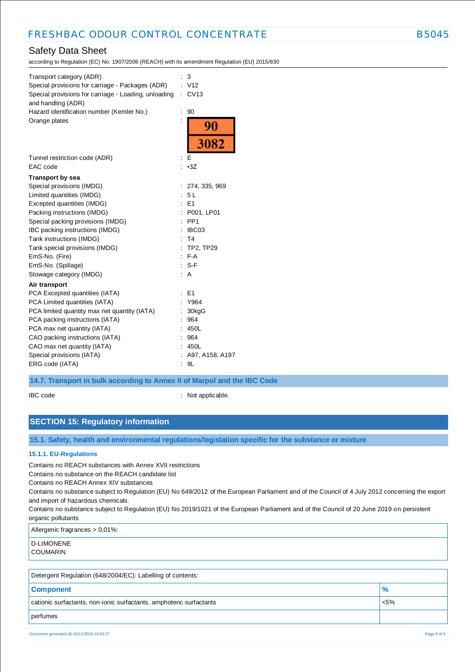# Safety Data Sheet

according to Regulation (EC) No. 1907/2006 (REACH) with its amendment Regulation (EU) 2015/830

| Transport category (ADR)<br>Special provisions for carriage - Packages (ADR)<br>Special provisions for carriage - Loading, unloading<br>and handling (ADR)<br>Hazard identification number (Kemler No.) | İ | 3<br>: V12<br>CV13<br>90 |
|---------------------------------------------------------------------------------------------------------------------------------------------------------------------------------------------------------|---|--------------------------|
| Orange plates                                                                                                                                                                                           |   | <b>90</b>                |
|                                                                                                                                                                                                         |   | 3082                     |
| Tunnel restriction code (ADR)<br>EAC code                                                                                                                                                               | ÷ | Е<br>: 3Z                |
| <b>Transport by sea</b>                                                                                                                                                                                 |   |                          |
| Special provisions (IMDG)                                                                                                                                                                               |   | 274, 335, 969            |
| Limited quantities (IMDG)                                                                                                                                                                               |   | 5L                       |
| Excepted quantities (IMDG)                                                                                                                                                                              |   | E1                       |
| Packing instructions (IMDG)                                                                                                                                                                             |   | P001, LP01               |
| Special packing provisions (IMDG)                                                                                                                                                                       |   | PP <sub>1</sub>          |
| IBC packing instructions (IMDG)                                                                                                                                                                         |   | IBC03                    |
| Tank instructions (IMDG)                                                                                                                                                                                |   | T4                       |
| Tank special provisions (IMDG)                                                                                                                                                                          |   | : TP2, TP29              |
| EmS-No. (Fire)                                                                                                                                                                                          |   | $F-A$                    |
| EmS-No. (Spillage)                                                                                                                                                                                      |   | $: S-F$                  |
| Stowage category (IMDG)                                                                                                                                                                                 |   | Α                        |
| Air transport                                                                                                                                                                                           |   |                          |
| PCA Excepted quantities (IATA)                                                                                                                                                                          |   | E <sub>1</sub>           |
| PCA Limited quantities (IATA)                                                                                                                                                                           |   | Y964                     |
| PCA limited quantity max net quantity (IATA)                                                                                                                                                            |   | 30kgG                    |
| PCA packing instructions (IATA)                                                                                                                                                                         |   | 964                      |
| PCA max net quantity (IATA)                                                                                                                                                                             |   | 450L                     |
| CAO packing instructions (IATA)                                                                                                                                                                         |   | 964                      |
| CAO max net quantity (IATA)                                                                                                                                                                             |   | 450L                     |
| Special provisions (IATA)                                                                                                                                                                               |   | A97, A158, A197          |
| ERG code (IATA)                                                                                                                                                                                         |   | 9L                       |

#### **14.7. Transport in bulk according to Annex II of Marpol and the IBC Code**

IBC code : Not applicable.

### **SECTION 15: Regulatory information**

**15.1. Safety, health and environmental regulations/legislation specific for the substance or mixture**

#### **15.1.1. EU-Regulations**

Contains no REACH substances with Annex XVII restrictions

Contains no substance on the REACH candidate list

Contains no REACH Annex XIV substances

Contains no substance subject to Regulation (EU) No 649/2012 of the European Parliament and of the Council of 4 July 2012 concerning the export and import of hazardous chemicals.

Contains no substance subject to Regulation (EU) No 2019/1021 of the European Parliament and of the Council of 20 June 2019 on persistent organic pollutants

Allergenic fragrances > 0,01%:

| <b>D-LIMONENE</b> |
|-------------------|
| COUMARIN          |

| Detergent Regulation (648/2004/EC): Labelling of contents:                     |               |  |
|--------------------------------------------------------------------------------|---------------|--|
| <b>Component</b>                                                               | $\frac{9}{6}$ |  |
| cationic surfactants, non-ionic surfactants, amphoteric surfactants<br>$< 5\%$ |               |  |
| perfumes                                                                       |               |  |

Document generated @ 20/12/2020 19:03:27 Page 8 of 9